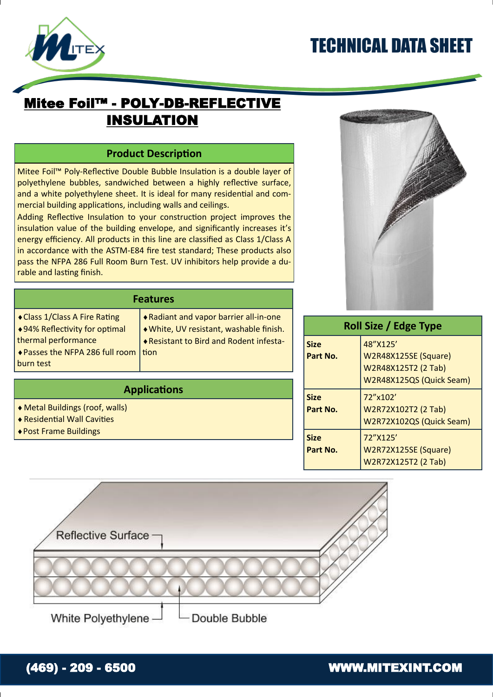# TECHNICAL DATA SHEET



### Mitee Foil™ - POLY-DB-REFLECTIVE INSULATION

#### **Product Description**

Mitee Foil™ Poly-Reflective Double Bubble Insulation is a double layer of polyethylene bubbles, sandwiched between a highly reflective surface, and a white polyethylene sheet. It is ideal for many residential and commercial building applications, including walls and ceilings.

Adding Reflective Insulation to your construction project improves the insulation value of the building envelope, and significantly increases it's energy efficiency. All products in this line are classified as Class 1/Class A in accordance with the ASTM-E84 fire test standard; These products also pass the NFPA 286 Full Room Burn Test. UV inhibitors help provide a durable and lasting finish.

**Features**

**Applications**

tion



| Roll Size / Edge Type   |                                                                                     |  |
|-------------------------|-------------------------------------------------------------------------------------|--|
| <b>Size</b><br>Part No. | 48"X125'<br>W2R48X125SE (Square)<br>W2R48X125T2 (2 Tab)<br>W2R48X125QS (Quick Seam) |  |
| <b>Size</b><br>Part No. | 72"x102'<br>W2R72X102T2 (2 Tab)<br>W2R72X102QS (Quick Seam)                         |  |
| <b>Size</b><br>Part No. | 72"X125'<br>W2R72X125SE (Square)<br>W2R72X125T2 (2 Tab)                             |  |



Radiant and vapor barrier all-in-one White, UV resistant, washable finish. Resistant to Bird and Rodent infesta-

White Polyethylene

Metal Buildings (roof, walls) Residential Wall Cavities Post Frame Buildings

Class 1/Class A Fire Rating 94% Reflectivity for optimal

◆ Passes the NFPA 286 full room

thermal performance

burn test

### (469) - 209 - 6500 WWW.MITEXINT.COM